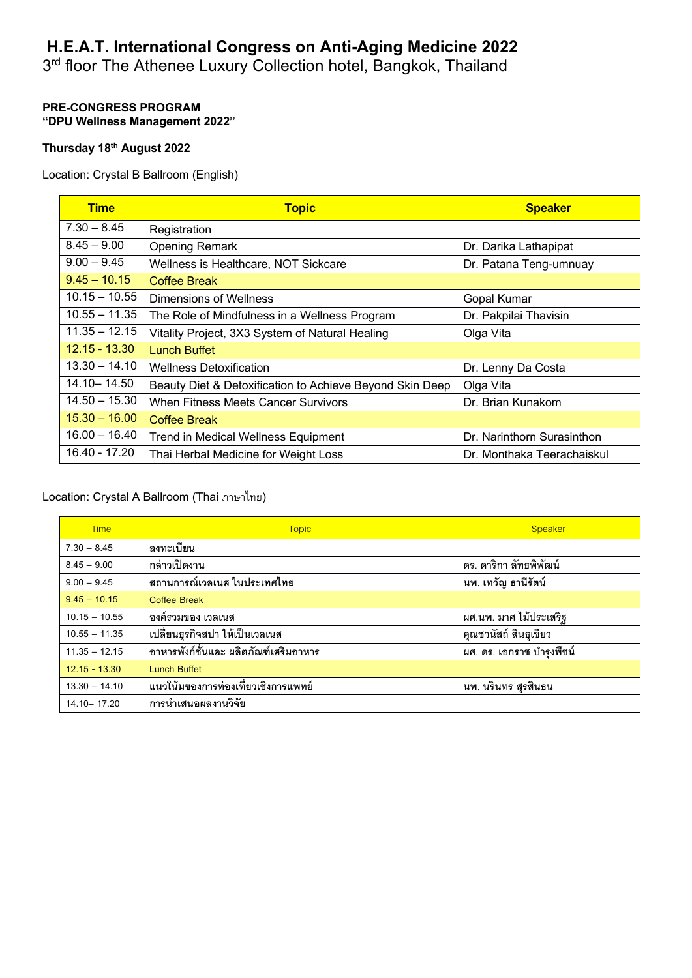# **H.E.A.T. International Congress on Anti-Aging Medicine 2022**

3rd floor The Athenee Luxury Collection hotel, Bangkok, Thailand

#### **PRE-CONGRESS PROGRAM "DPU Wellness Management 2022"**

## **Thursday 18th August 2022**

Location: Crystal B Ballroom (English)

| <b>Time</b>     | <b>Topic</b>                                             | <b>Speaker</b>             |
|-----------------|----------------------------------------------------------|----------------------------|
| $7.30 - 8.45$   | Registration                                             |                            |
| $8.45 - 9.00$   | <b>Opening Remark</b>                                    | Dr. Darika Lathapipat      |
| $9.00 - 9.45$   | Wellness is Healthcare, NOT Sickcare                     | Dr. Patana Teng-umnuay     |
| $9.45 - 10.15$  | <b>Coffee Break</b>                                      |                            |
| $10.15 - 10.55$ | Dimensions of Wellness                                   | Gopal Kumar                |
| $10.55 - 11.35$ | The Role of Mindfulness in a Wellness Program            | Dr. Pakpilai Thavisin      |
| $11.35 - 12.15$ | Vitality Project, 3X3 System of Natural Healing          | Olga Vita                  |
| $12.15 - 13.30$ | <b>Lunch Buffet</b>                                      |                            |
| $13.30 - 14.10$ | <b>Wellness Detoxification</b>                           | Dr. Lenny Da Costa         |
| 14.10 - 14.50   | Beauty Diet & Detoxification to Achieve Beyond Skin Deep | Olga Vita                  |
| $14.50 - 15.30$ | <b>When Fitness Meets Cancer Survivors</b>               | Dr. Brian Kunakom          |
| $15.30 - 16.00$ | <b>Coffee Break</b>                                      |                            |
| $16.00 - 16.40$ | <b>Trend in Medical Wellness Equipment</b>               | Dr. Narinthorn Surasinthon |
| 16.40 - 17.20   | Thai Herbal Medicine for Weight Loss                     | Dr. Monthaka Teerachaiskul |

### Location: Crystal A Ballroom (Thai ภาษาไทย)

| <b>Time</b>     | <b>Topic</b>                           | Speaker                   |
|-----------------|----------------------------------------|---------------------------|
| $7.30 - 8.45$   | ลงทะเบียน                              |                           |
| $8.45 - 9.00$   | กล่าวเปิดงาน                           | ดร. ดาริกา ลัทธพิพัฒน์    |
| $9.00 - 9.45$   | สถานการณ์เวลเนส ในประเทศไทย            | นพ. เทวัญ ธานีรัตน์       |
| $9.45 - 10.15$  | <b>Coffee Break</b>                    |                           |
| $10.15 - 10.55$ | ้องค์รวมของ เวลเนส                     | ผศ.นพ. มาศ ไม้ประเสริฐ    |
| $10.55 - 11.35$ | เปลี่ยนธุรกิจสปา ให้เป็นเวลเนส         | คุณชวนัสถ์ สินธุเขียว     |
| $11.35 - 12.15$ | ้อาหารพังก์ชั่นและ ผลิตภัณฑ์เสริมอาหาร | ผศ. ดร. เอกราช บำรุงพืชน์ |
| $12.15 - 13.30$ | <b>Lunch Buffet</b>                    |                           |
| $13.30 - 14.10$ | แนวโน้มของการท่องเที่ยวเชิงการแพทย์    | นพ. นรินทร สุรสินธน       |
| 14.10 - 17.20   | การนำเสนอผลงานวิจัย                    |                           |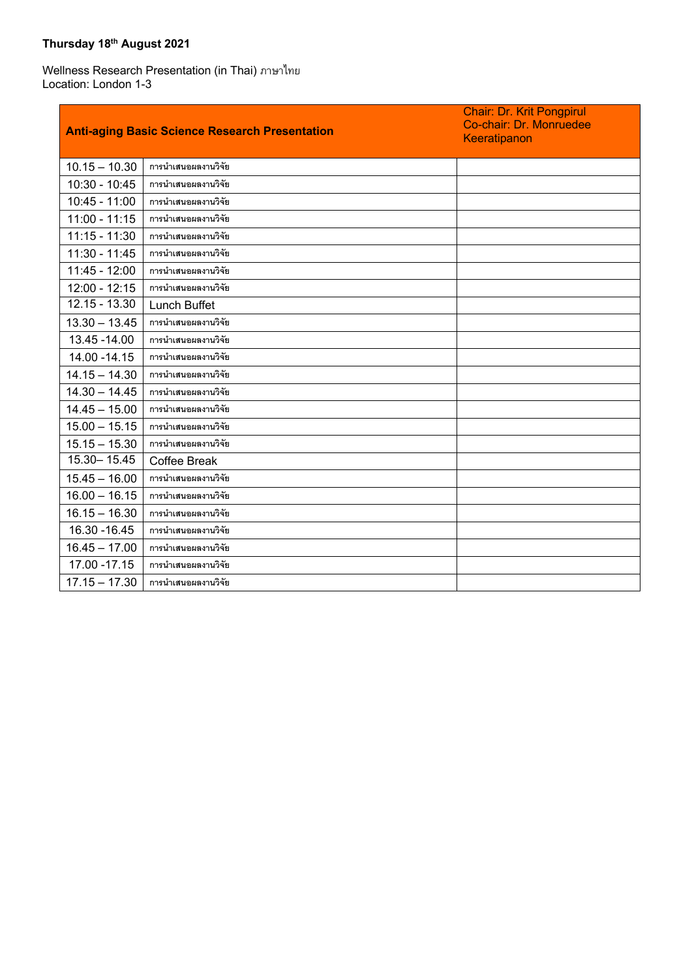## **Thursday 18th August 2021**

Wellness Research Presentation (in Thai) ภาษาไทย Location: London 1-3

|                 | <b>Anti-aging Basic Science Research Presentation</b> | <b>Chair: Dr. Krit Pongpirul</b><br>Co-chair: Dr. Monruedee<br>Keeratipanon |
|-----------------|-------------------------------------------------------|-----------------------------------------------------------------------------|
| $10.15 - 10.30$ | การนำเสนอผลงานวิจัย                                   |                                                                             |
| $10:30 - 10:45$ | การนำเสนอผลงานวิจัย                                   |                                                                             |
| $10:45 - 11:00$ | การนำเสนอผลงานวิจัย                                   |                                                                             |
| $11:00 - 11:15$ | การนำเสนอผลงานวิจัย                                   |                                                                             |
| $11:15 - 11:30$ | การนำเสนอผลงานวิจัย                                   |                                                                             |
| 11:30 - 11:45   | การนำเสนอผลงานวิจัย                                   |                                                                             |
| 11:45 - 12:00   | การนำเสนอผลงานวิจัย                                   |                                                                             |
| $12:00 - 12:15$ | การนำเสนอผลงานวิจัย                                   |                                                                             |
| $12.15 - 13.30$ | <b>Lunch Buffet</b>                                   |                                                                             |
| $13.30 - 13.45$ | การนำเสนอผลงานวิจัย                                   |                                                                             |
| 13.45 - 14.00   | การนำเสนอผลงานวิจัย                                   |                                                                             |
| 14.00 - 14.15   | การนำเสนอผลงานวิจัย                                   |                                                                             |
| $14.15 - 14.30$ | การนำเสนอผลงานวิจัย                                   |                                                                             |
| $14.30 - 14.45$ | การนำเสนอผลงานวิจัย                                   |                                                                             |
| $14.45 - 15.00$ | การนำเสนอผลงานวิจัย                                   |                                                                             |
| $15.00 - 15.15$ | การนำเสนอผลงานวิจัย                                   |                                                                             |
| $15.15 - 15.30$ | การนำเสนอผลงานวิจัย                                   |                                                                             |
| 15.30 - 15.45   | <b>Coffee Break</b>                                   |                                                                             |
| $15.45 - 16.00$ | การนำเสนอผลงานวิจัย                                   |                                                                             |
| $16.00 - 16.15$ | การนำเสนอผลงานวิจัย                                   |                                                                             |
| $16.15 - 16.30$ | การนำเสนอผลงานวิจัย                                   |                                                                             |
| 16.30 - 16.45   | การนำเสนอผลงานวิจัย                                   |                                                                             |
| $16.45 - 17.00$ | การนำเสนอผลงานวิจัย                                   |                                                                             |
| 17.00 - 17.15   | การนำเสนอผลงานวิจัย                                   |                                                                             |
| $17.15 - 17.30$ | การนำเสนอผลงานวิจัย                                   |                                                                             |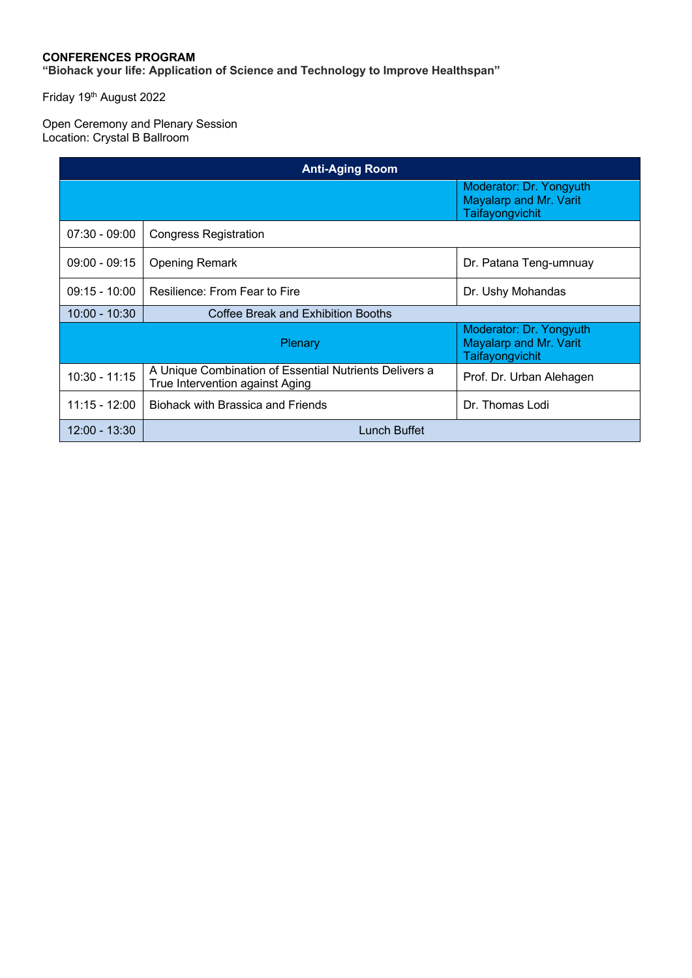#### **CONFERENCES PROGRAM**

**"Biohack your life: Application of Science and Technology to Improve Healthspan"**

Friday 19<sup>th</sup> August 2022

#### Open Ceremony and Plenary Session Location: Crystal B Ballroom

| <b>Anti-Aging Room</b>                                                          |                                                                                           |                          |
|---------------------------------------------------------------------------------|-------------------------------------------------------------------------------------------|--------------------------|
|                                                                                 | Moderator: Dr. Yongyuth<br>Mayalarp and Mr. Varit<br>Taifayongvichit                      |                          |
| $07:30 - 09:00$                                                                 | <b>Congress Registration</b>                                                              |                          |
| $09:00 - 09:15$                                                                 | <b>Opening Remark</b>                                                                     | Dr. Patana Teng-umnuay   |
| $09:15 - 10:00$                                                                 | Resilience: From Fear to Fire                                                             | Dr. Ushy Mohandas        |
| $10:00 - 10:30$                                                                 | Coffee Break and Exhibition Booths                                                        |                          |
| Moderator: Dr. Yongyuth<br>Mayalarp and Mr. Varit<br>Plenary<br>Taifayongvichit |                                                                                           |                          |
| $10:30 - 11:15$                                                                 | A Unique Combination of Essential Nutrients Delivers a<br>True Intervention against Aging | Prof. Dr. Urban Alehagen |
| $11:15 - 12:00$                                                                 | <b>Biohack with Brassica and Friends</b>                                                  | Dr. Thomas Lodi          |
| $12:00 - 13:30$                                                                 | Lunch Buffet                                                                              |                          |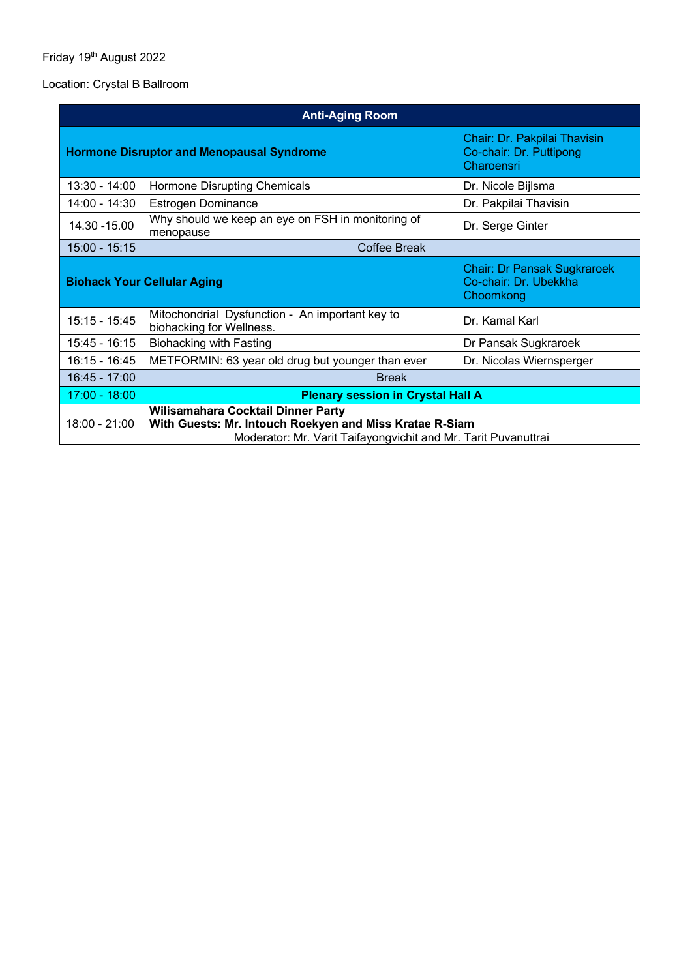### Friday 19<sup>th</sup> August 2022

### Location: Crystal B Ballroom

| <b>Anti-Aging Room</b>                                                                                                                                                             |                                                                             |                                                                          |
|------------------------------------------------------------------------------------------------------------------------------------------------------------------------------------|-----------------------------------------------------------------------------|--------------------------------------------------------------------------|
| <b>Hormone Disruptor and Menopausal Syndrome</b>                                                                                                                                   |                                                                             | Chair: Dr. Pakpilai Thavisin<br>Co-chair: Dr. Puttipong<br>Charoensri    |
| $13:30 - 14:00$                                                                                                                                                                    | Hormone Disrupting Chemicals                                                | Dr. Nicole Bijlsma                                                       |
| 14:00 - 14:30                                                                                                                                                                      | <b>Estrogen Dominance</b>                                                   | Dr. Pakpilai Thavisin                                                    |
| 14.30 - 15.00                                                                                                                                                                      | Why should we keep an eye on FSH in monitoring of<br>menopause              | Dr. Serge Ginter                                                         |
| $15:00 - 15:15$                                                                                                                                                                    | <b>Coffee Break</b>                                                         |                                                                          |
|                                                                                                                                                                                    | <b>Biohack Your Cellular Aging</b>                                          | <b>Chair: Dr Pansak Sugkraroek</b><br>Co-chair: Dr. Ubekkha<br>Choomkong |
| $15:15 - 15:45$                                                                                                                                                                    | Mitochondrial Dysfunction - An important key to<br>biohacking for Wellness. | Dr. Kamal Karl                                                           |
| 15:45 - 16:15                                                                                                                                                                      | <b>Biohacking with Fasting</b>                                              | Dr Pansak Sugkraroek                                                     |
| 16:15 - 16:45                                                                                                                                                                      | METFORMIN: 63 year old drug but younger than ever                           | Dr. Nicolas Wiernsperger                                                 |
| 16:45 - 17:00                                                                                                                                                                      | <b>Break</b>                                                                |                                                                          |
| $17:00 - 18:00$                                                                                                                                                                    | <b>Plenary session in Crystal Hall A</b>                                    |                                                                          |
| Wilisamahara Cocktail Dinner Party<br>$18:00 - 21:00$<br>With Guests: Mr. Intouch Roekyen and Miss Kratae R-Siam<br>Moderator: Mr. Varit Taifayongvichit and Mr. Tarit Puvanuttrai |                                                                             |                                                                          |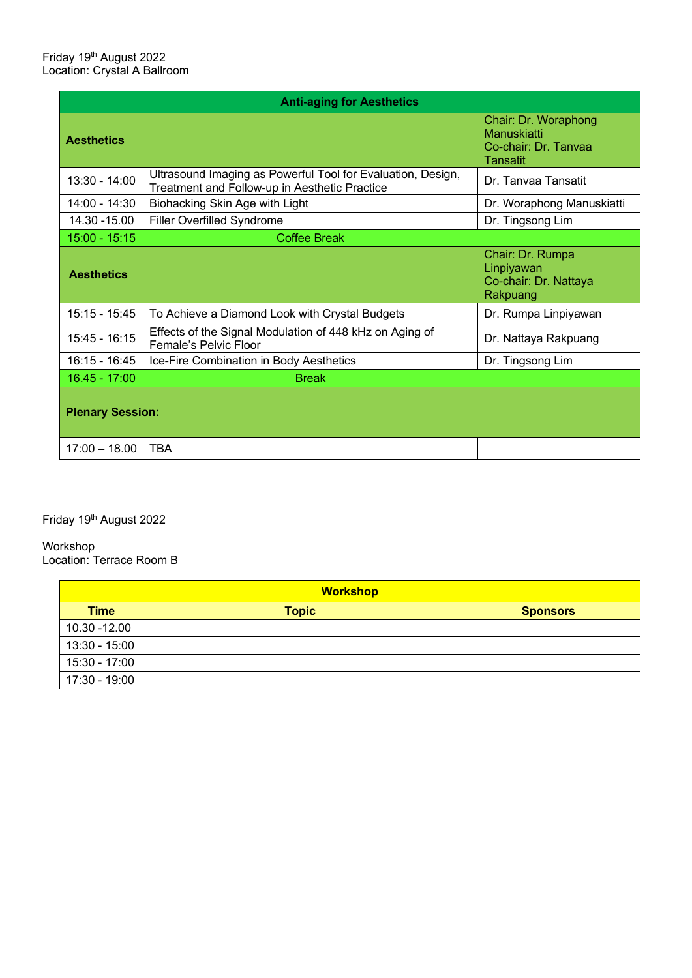| <b>Anti-aging for Aesthetics</b> |                                                                                                              |                                                                                |
|----------------------------------|--------------------------------------------------------------------------------------------------------------|--------------------------------------------------------------------------------|
| <b>Aesthetics</b>                |                                                                                                              | Chair: Dr. Woraphong<br>Manuskiatti<br>Co-chair: Dr. Tanyaa<br><b>Tansatit</b> |
| 13:30 - 14:00                    | Ultrasound Imaging as Powerful Tool for Evaluation, Design,<br>Treatment and Follow-up in Aesthetic Practice | Dr. Tanvaa Tansatit                                                            |
| $14:00 - 14:30$                  | Biohacking Skin Age with Light                                                                               | Dr. Woraphong Manuskiatti                                                      |
| 14.30 - 15.00                    | <b>Filler Overfilled Syndrome</b>                                                                            | Dr. Tingsong Lim                                                               |
| $15:00 - 15:15$                  | Coffee Break                                                                                                 |                                                                                |
| <b>Aesthetics</b>                |                                                                                                              | Chair: Dr. Rumpa<br>Linpiyawan<br>Co-chair: Dr. Nattaya<br>Rakpuang            |
| $15:15 - 15:45$                  | To Achieve a Diamond Look with Crystal Budgets                                                               | Dr. Rumpa Linpiyawan                                                           |
| 15:45 - 16:15                    | Effects of the Signal Modulation of 448 kHz on Aging of<br>Female's Pelvic Floor                             | Dr. Nattaya Rakpuang                                                           |
| $16:15 - 16:45$                  | Ice-Fire Combination in Body Aesthetics                                                                      | Dr. Tingsong Lim                                                               |
| $16.45 - 17:00$                  | <b>Break</b>                                                                                                 |                                                                                |
| <b>Plenary Session:</b>          |                                                                                                              |                                                                                |
| $17:00 - 18.00$                  | <b>TBA</b>                                                                                                   |                                                                                |

# Friday 19<sup>th</sup> August 2022

# Workshop

Location: Terrace Room B

| <b>Workshop</b> |              |                 |
|-----------------|--------------|-----------------|
| <b>Time</b>     | <b>Topic</b> | <b>Sponsors</b> |
| 10.30 - 12.00   |              |                 |
| $13:30 - 15:00$ |              |                 |
| 15:30 - 17:00   |              |                 |
| 17:30 - 19:00   |              |                 |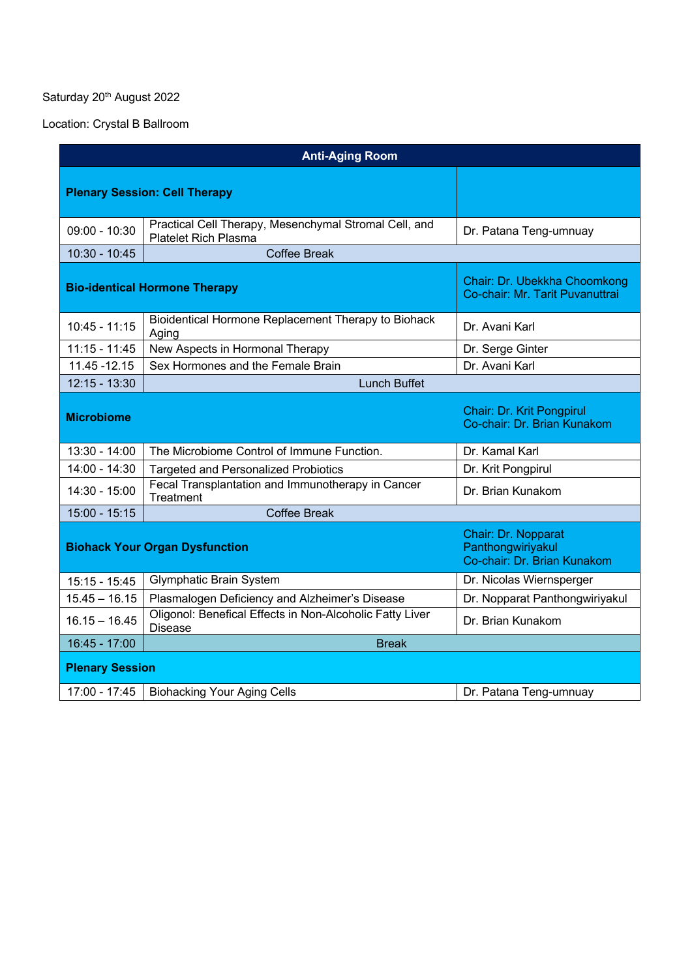# Saturday 20<sup>th</sup> August 2022

Location: Crystal B Ballroom

| <b>Anti-Aging Room</b> |                                                                                      |                                                                         |
|------------------------|--------------------------------------------------------------------------------------|-------------------------------------------------------------------------|
|                        | <b>Plenary Session: Cell Therapy</b>                                                 |                                                                         |
| $09:00 - 10:30$        | Practical Cell Therapy, Mesenchymal Stromal Cell, and<br><b>Platelet Rich Plasma</b> | Dr. Patana Teng-umnuay                                                  |
| $10:30 - 10:45$        | <b>Coffee Break</b>                                                                  |                                                                         |
|                        | <b>Bio-identical Hormone Therapy</b>                                                 | Chair: Dr. Ubekkha Choomkong<br>Co-chair: Mr. Tarit Puvanuttrai         |
| $10:45 - 11:15$        | Bioidentical Hormone Replacement Therapy to Biohack<br>Aging                         | Dr. Avani Karl                                                          |
| $11:15 - 11:45$        | New Aspects in Hormonal Therapy                                                      | Dr. Serge Ginter                                                        |
| 11.45 - 12.15          | Sex Hormones and the Female Brain                                                    | Dr. Avani Karl                                                          |
| $12:15 - 13:30$        | <b>Lunch Buffet</b>                                                                  |                                                                         |
| <b>Microbiome</b>      |                                                                                      | Chair: Dr. Krit Pongpirul<br>Co-chair: Dr. Brian Kunakom                |
| $13:30 - 14:00$        | The Microbiome Control of Immune Function.                                           | Dr. Kamal Karl                                                          |
| 14:00 - 14:30          | <b>Targeted and Personalized Probiotics</b>                                          | Dr. Krit Pongpirul                                                      |
| 14:30 - 15:00          | Fecal Transplantation and Immunotherapy in Cancer<br>Treatment                       | Dr. Brian Kunakom                                                       |
| $15:00 - 15:15$        | <b>Coffee Break</b>                                                                  |                                                                         |
|                        | <b>Biohack Your Organ Dysfunction</b>                                                | Chair: Dr. Nopparat<br>Panthongwiriyakul<br>Co-chair: Dr. Brian Kunakom |
| $15:15 - 15:45$        | <b>Glymphatic Brain System</b>                                                       | Dr. Nicolas Wiernsperger                                                |
| $15.45 - 16.15$        | Plasmalogen Deficiency and Alzheimer's Disease                                       | Dr. Nopparat Panthongwiriyakul                                          |
| $16.15 - 16.45$        | Oligonol: Benefical Effects in Non-Alcoholic Fatty Liver<br><b>Disease</b>           | Dr. Brian Kunakom                                                       |
| 16:45 - 17:00          | <b>Break</b>                                                                         |                                                                         |
| <b>Plenary Session</b> |                                                                                      |                                                                         |
| 17:00 - 17:45          | <b>Biohacking Your Aging Cells</b>                                                   | Dr. Patana Teng-umnuay                                                  |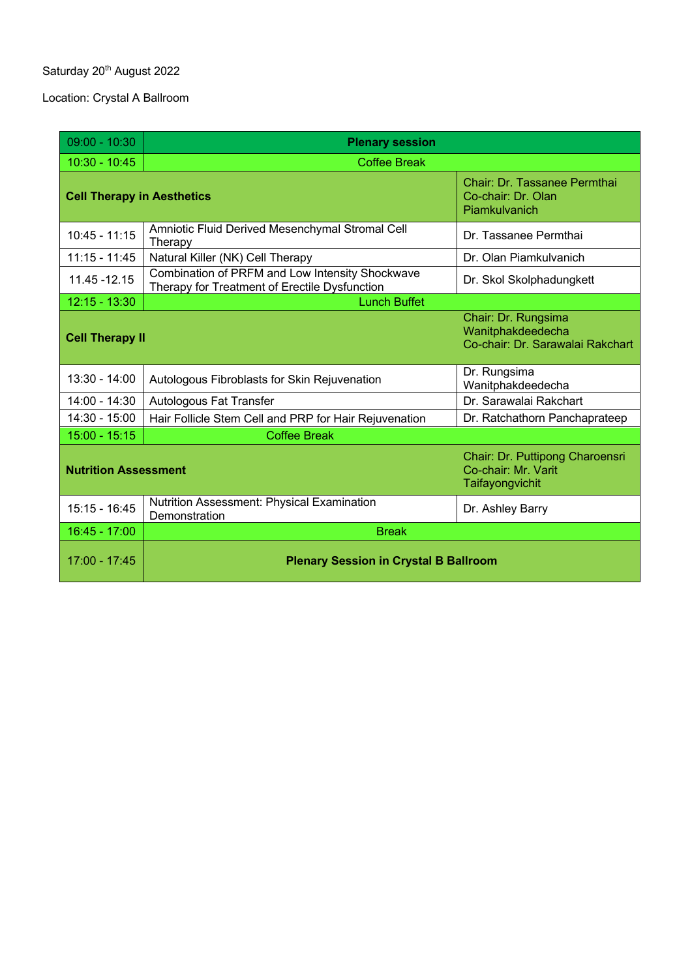# Saturday 20<sup>th</sup> August 2022

Location: Crystal A Ballroom

| $09:00 - 10:30$                                                       | <b>Plenary session</b>                                                                           |                                                                              |
|-----------------------------------------------------------------------|--------------------------------------------------------------------------------------------------|------------------------------------------------------------------------------|
| $10:30 - 10:45$                                                       | <b>Coffee Break</b>                                                                              |                                                                              |
| <b>Cell Therapy in Aesthetics</b>                                     |                                                                                                  | Chair: Dr. Tassanee Permthai<br>Co-chair: Dr. Olan<br>Piamkulvanich          |
| $10:45 - 11:15$                                                       | Amniotic Fluid Derived Mesenchymal Stromal Cell<br>Therapy                                       | Dr. Tassanee Permthai                                                        |
| $11:15 - 11:45$                                                       | Natural Killer (NK) Cell Therapy                                                                 | Dr. Olan Piamkulvanich                                                       |
| 11.45 - 12.15                                                         | Combination of PRFM and Low Intensity Shockwave<br>Therapy for Treatment of Erectile Dysfunction | Dr. Skol Skolphadungkett                                                     |
| $12:15 - 13:30$                                                       | <b>Lunch Buffet</b>                                                                              |                                                                              |
| <b>Cell Therapy II</b>                                                |                                                                                                  | Chair: Dr. Rungsima<br>Wanitphakdeedecha<br>Co-chair: Dr. Sarawalai Rakchart |
| 13:30 - 14:00                                                         | Autologous Fibroblasts for Skin Rejuvenation                                                     | Dr. Rungsima<br>Wanitphakdeedecha                                            |
| 14:00 - 14:30                                                         | <b>Autologous Fat Transfer</b>                                                                   | Dr. Sarawalai Rakchart                                                       |
| 14:30 - 15:00                                                         | Hair Follicle Stem Cell and PRP for Hair Rejuvenation                                            | Dr. Ratchathorn Panchaprateep                                                |
| $15:00 - 15:15$                                                       | <b>Coffee Break</b>                                                                              |                                                                              |
| Co-chair: Mr. Varit<br><b>Nutrition Assessment</b><br>Taifayongvichit |                                                                                                  | Chair: Dr. Puttipong Charoensri                                              |
| $15:15 - 16:45$                                                       | Nutrition Assessment: Physical Examination<br>Demonstration                                      | Dr. Ashley Barry                                                             |
| 16:45 - 17:00                                                         | <b>Break</b>                                                                                     |                                                                              |
| 17:00 - 17:45                                                         | <b>Plenary Session in Crystal B Ballroom</b>                                                     |                                                                              |